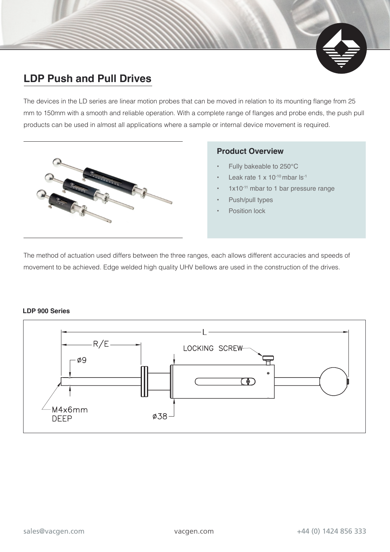## **LDP Push and Pull Drives**

The devices in the LD series are linear motion probes that can be moved in relation to its mounting flange from 25 mm to 150mm with a smooth and reliable operation. With a complete range of flanges and probe ends, the push pull products can be used in almost all applications where a sample or internal device movement is required.



### **Product Overview**

- Fully bakeable to 250°C
- Leak rate 1 x 10<sup>-10</sup> mbar ls<sup>-1</sup>
- $1x10^{-11}$  mbar to 1 bar pressure range
- Push/pull types
- Position lock

The method of actuation used differs between the three ranges, each allows different accuracies and speeds of movement to be achieved. Edge welded high quality UHV bellows are used in the construction of the drives.

#### **LDP 900 Series**